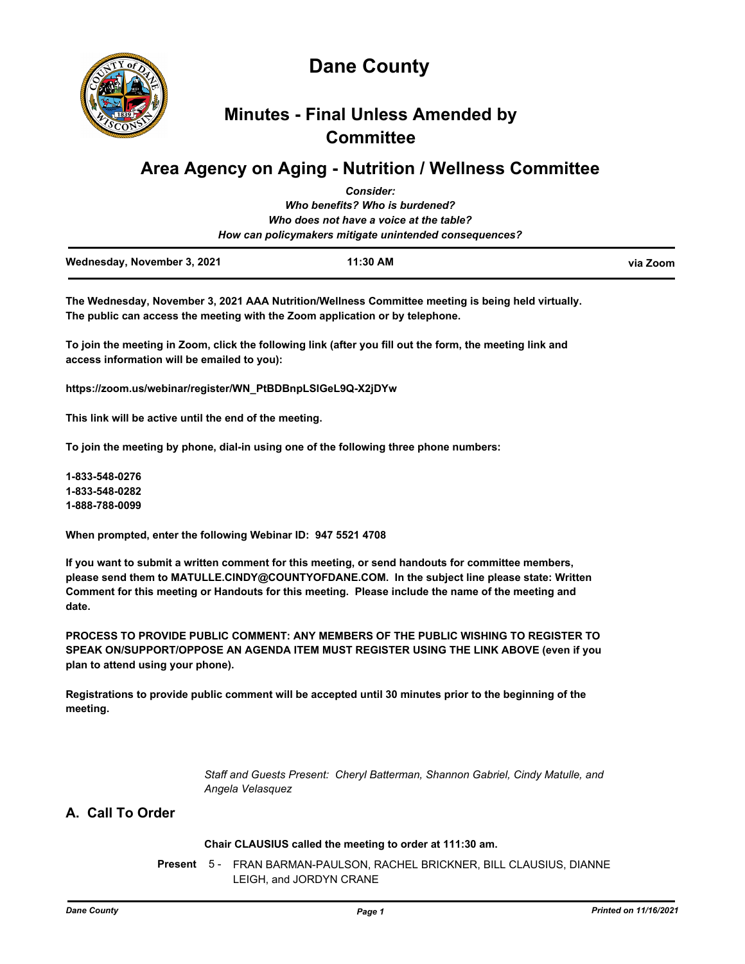

# **Minutes - Final Unless Amended by Committee**

# **Area Agency on Aging - Nutrition / Wellness Committee**

|                                                        | <b>Consider:</b>                        |          |
|--------------------------------------------------------|-----------------------------------------|----------|
|                                                        | Who benefits? Who is burdened?          |          |
|                                                        | Who does not have a voice at the table? |          |
| How can policymakers mitigate unintended consequences? |                                         |          |
| Wednesday, November 3, 2021                            | 11:30 AM                                | via Zoom |

**The Wednesday, November 3, 2021 AAA Nutrition/Wellness Committee meeting is being held virtually. The public can access the meeting with the Zoom application or by telephone.** 

**To join the meeting in Zoom, click the following link (after you fill out the form, the meeting link and access information will be emailed to you):** 

**https://zoom.us/webinar/register/WN\_PtBDBnpLSlGeL9Q-X2jDYw**

**This link will be active until the end of the meeting.** 

**To join the meeting by phone, dial-in using one of the following three phone numbers:** 

**1-833-548-0276 1-833-548-0282 1-888-788-0099**

**When prompted, enter the following Webinar ID: 947 5521 4708**

**If you want to submit a written comment for this meeting, or send handouts for committee members, please send them to MATULLE.CINDY@COUNTYOFDANE.COM. In the subject line please state: Written Comment for this meeting or Handouts for this meeting. Please include the name of the meeting and date.**

**PROCESS TO PROVIDE PUBLIC COMMENT: ANY MEMBERS OF THE PUBLIC WISHING TO REGISTER TO SPEAK ON/SUPPORT/OPPOSE AN AGENDA ITEM MUST REGISTER USING THE LINK ABOVE (even if you plan to attend using your phone).** 

**Registrations to provide public comment will be accepted until 30 minutes prior to the beginning of the meeting.**

> *Staff and Guests Present: Cheryl Batterman, Shannon Gabriel, Cindy Matulle, and Angela Velasquez*

# **A. Call To Order**

#### **Chair CLAUSIUS called the meeting to order at 111:30 am.**

Present 5 - FRAN BARMAN-PAULSON, RACHEL BRICKNER, BILL CLAUSIUS, DIANNE LEIGH, and JORDYN CRANE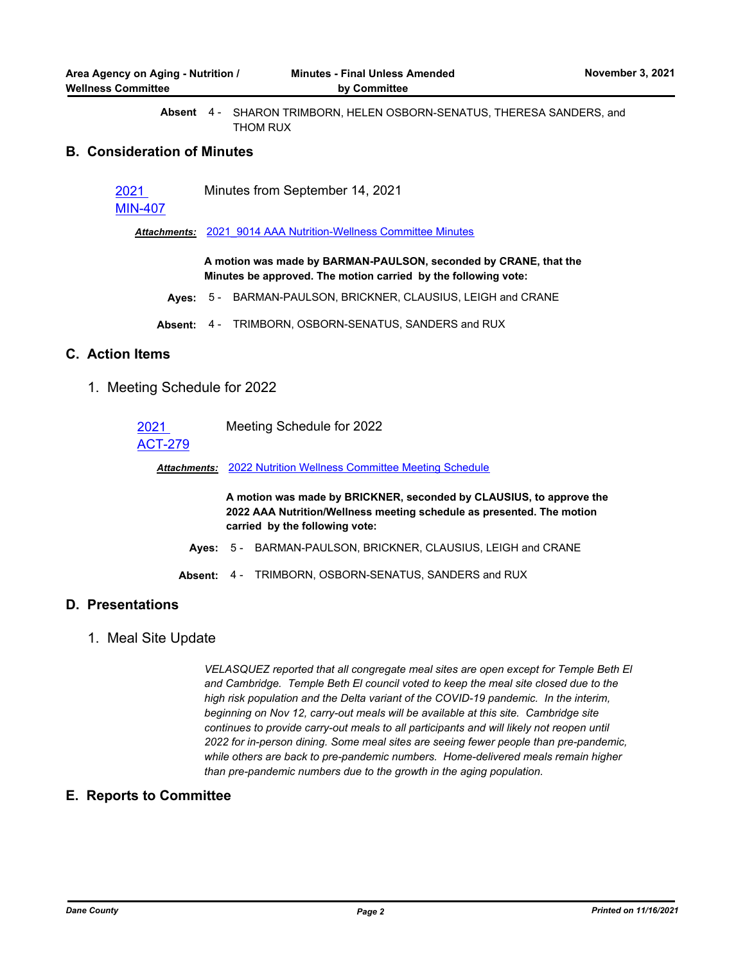SHARON TRIMBORN, HELEN OSBORN-SENATUS, THERESA SANDERS, and THOM RUX **Absent** 4 -

#### **B. Consideration of Minutes**

| Minutes from September 14, 2021<br>2021 |  |
|-----------------------------------------|--|
|-----------------------------------------|--|

### [MIN-407](http://dane.legistar.com/gateway.aspx?m=l&id=/matter.aspx?key=21485)

*Attachments:* [2021\\_9014 AAA Nutrition-Wellness Committee Minutes](http://dane.legistar.com/gateway.aspx?M=F&ID=48528e7b-8c9c-42f4-b0fa-0a66f2cbaaea.pdf)

**A motion was made by BARMAN-PAULSON, seconded by CRANE, that the Minutes be approved. The motion carried by the following vote:**

- **Ayes:** 5 BARMAN-PAULSON, BRICKNER, CLAUSIUS, LEIGH and CRANE
- **Absent:** 4 TRIMBORN, OSBORN-SENATUS, SANDERS and RUX

# **C. Action Items**

1. Meeting Schedule for 2022

| 2021           | Meeting Schedule for 2022                                              |
|----------------|------------------------------------------------------------------------|
| <b>ACT-279</b> |                                                                        |
|                | <b>Attachments: 2022 Nutrition Wellness Committee Meeting Schedule</b> |
|                |                                                                        |

**A motion was made by BRICKNER, seconded by CLAUSIUS, to approve the 2022 AAA Nutrition/Wellness meeting schedule as presented. The motion carried by the following vote:**

- **Ayes:** 5 BARMAN-PAULSON, BRICKNER, CLAUSIUS, LEIGH and CRANE
- **Absent:** 4 TRIMBORN, OSBORN-SENATUS, SANDERS and RUX

# **D. Presentations**

1. Meal Site Update

*VELASQUEZ reported that all congregate meal sites are open except for Temple Beth El and Cambridge. Temple Beth El council voted to keep the meal site closed due to the high risk population and the Delta variant of the COVID-19 pandemic. In the interim, beginning on Nov 12, carry-out meals will be available at this site. Cambridge site*  continues to provide carry-out meals to all participants and will likely not reopen until *2022 for in-person dining. Some meal sites are seeing fewer people than pre-pandemic, while others are back to pre-pandemic numbers. Home-delivered meals remain higher than pre-pandemic numbers due to the growth in the aging population.*

# **E. Reports to Committee**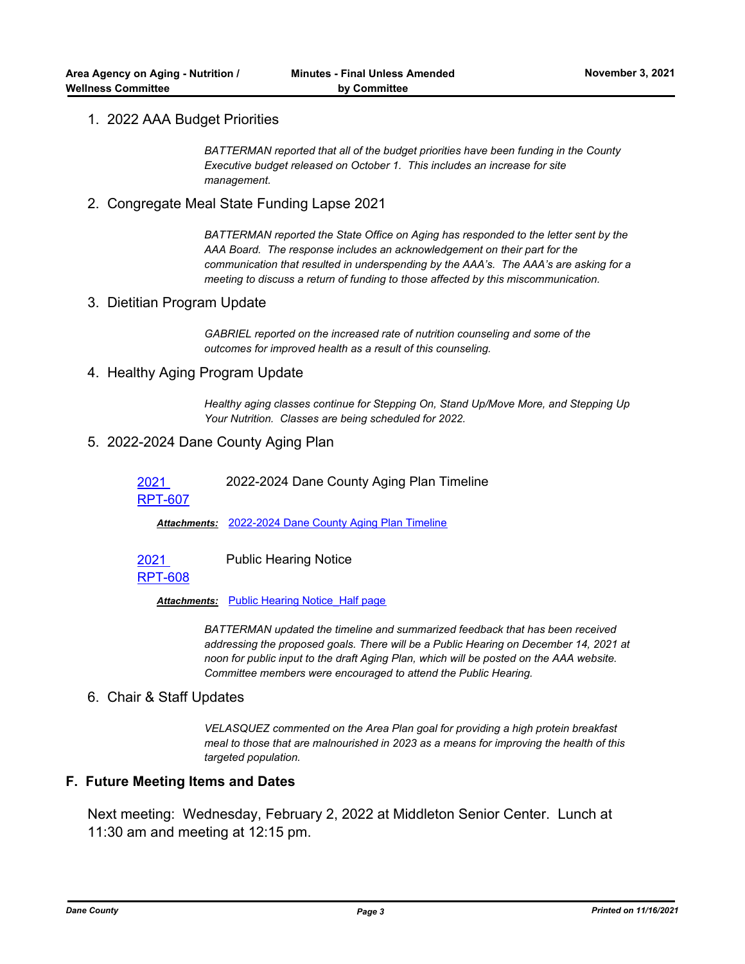# 1. 2022 AAA Budget Priorities

*BATTERMAN reported that all of the budget priorities have been funding in the County Executive budget released on October 1. This includes an increase for site management.*

2. Congregate Meal State Funding Lapse 2021

*BATTERMAN reported the State Office on Aging has responded to the letter sent by the AAA Board. The response includes an acknowledgement on their part for the communication that resulted in underspending by the AAA's. The AAA's are asking for a meeting to discuss a return of funding to those affected by this miscommunication.*

### 3. Dietitian Program Update

*GABRIEL reported on the increased rate of nutrition counseling and some of the outcomes for improved health as a result of this counseling.*

#### 4. Healthy Aging Program Update

*Healthy aging classes continue for Stepping On, Stand Up/Move More, and Stepping Up Your Nutrition. Classes are being scheduled for 2022.*

### 5. 2022-2024 Dane County Aging Plan

2021 2022-2024 Dane County Aging Plan Timeline

[RPT-607](http://dane.legistar.com/gateway.aspx?m=l&id=/matter.aspx?key=21482)

*Attachments:* [2022-2024 Dane County Aging Plan Timeline](http://dane.legistar.com/gateway.aspx?M=F&ID=7c9b1f5a-4d70-4124-9654-e6f7d979d29d.pdf)

2021 Public Hearing Notice

[RPT-608](http://dane.legistar.com/gateway.aspx?m=l&id=/matter.aspx?key=21483)

*Attachments:* [Public Hearing Notice\\_Half page](http://dane.legistar.com/gateway.aspx?M=F&ID=289fe0d1-5359-4a04-b894-520d8082f453.pdf)

*BATTERMAN updated the timeline and summarized feedback that has been received addressing the proposed goals. There will be a Public Hearing on December 14, 2021 at noon for public input to the draft Aging Plan, which will be posted on the AAA website. Committee members were encouraged to attend the Public Hearing.*

#### 6. Chair & Staff Updates

*VELASQUEZ commented on the Area Plan goal for providing a high protein breakfast meal to those that are malnourished in 2023 as a means for improving the health of this targeted population.*

# **F. Future Meeting Items and Dates**

Next meeting: Wednesday, February 2, 2022 at Middleton Senior Center. Lunch at 11:30 am and meeting at 12:15 pm.